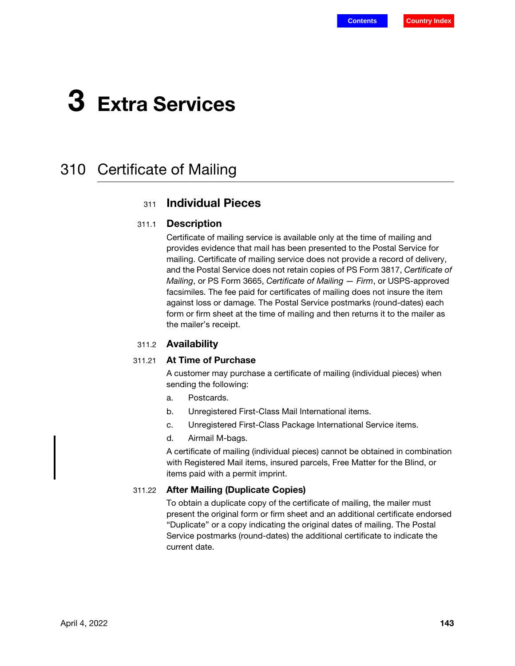# 3 Extra Services

## 310 Certificate of Mailing

### <sup>311</sup> Individual Pieces

#### 311.1 Description

Certificate of mailing service is available only at the time of mailing and provides evidence that mail has been presented to the Postal Service for mailing. Certificate of mailing service does not provide a record of delivery, and the Postal Service does not retain copies of PS Form 3817, Certificate of Mailing, or PS Form 3665, Certificate of Mailing - Firm, or USPS-approved facsimiles. The fee paid for certificates of mailing does not insure the item against loss or damage. The Postal Service postmarks (round-dates) each form or firm sheet at the time of mailing and then returns it to the mailer as the mailer's receipt.

### 311.2 Availability

### <span id="page-0-1"></span>311.21 At Time of Purchase

A customer may purchase a certificate of mailing (individual pieces) when sending the following:

- a. Postcards.
- b. Unregistered First-Class Mail International items.
- c. Unregistered First-Class Package International Service items.
- d. Airmail M-bags.

A certificate of mailing (individual pieces) cannot be obtained in combination with Registered Mail items, insured parcels, Free Matter for the Blind, or items paid with a permit imprint.

#### <span id="page-0-0"></span>311.22 After Mailing (Duplicate Copies)

To obtain a duplicate copy of the certificate of mailing, the mailer must present the original form or firm sheet and an additional certificate endorsed "Duplicate" or a copy indicating the original dates of mailing. The Postal Service postmarks (round-dates) the additional certificate to indicate the current date.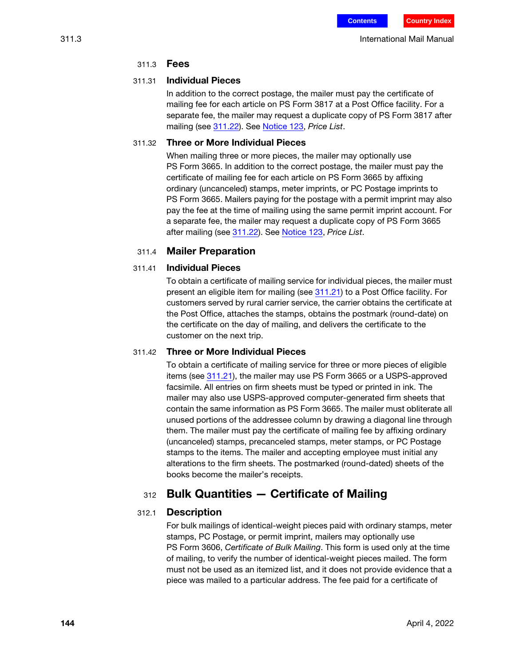### 311.3 Fees

### 311.31 Individual Pieces

In addition to the correct postage, the mailer must pay the certificate of mailing fee for each article on PS Form 3817 at a Post Office facility. For a separate fee, the mailer may request a duplicate copy of PS Form 3817 after mailing (see [311.22](#page-0-0)). See [Notice 123,](http://pe.usps.com/text/dmm300/Notice123.htm) Price List.

### 311.32 Three or More Individual Pieces

When mailing three or more pieces, the mailer may optionally use PS Form 3665. In addition to the correct postage, the mailer must pay the certificate of mailing fee for each article on PS Form 3665 by affixing ordinary (uncanceled) stamps, meter imprints, or PC Postage imprints to PS Form 3665. Mailers paying for the postage with a permit imprint may also pay the fee at the time of mailing using the same permit imprint account. For a separate fee, the mailer may request a duplicate copy of PS Form 3665 after mailing (see [311.22](#page-0-0)). See [Notice 123,](http://pe.usps.com/text/dmm300/Notice123.htm) Price List.

### 311.4 Mailer Preparation

### 311.41 Individual Pieces

To obtain a certificate of mailing service for individual pieces, the mailer must present an eligible item for mailing (see [311.21](#page-0-1)) to a Post Office facility. For customers served by rural carrier service, the carrier obtains the certificate at the Post Office, attaches the stamps, obtains the postmark (round-date) on the certificate on the day of mailing, and delivers the certificate to the customer on the next trip.

### 311.42 Three or More Individual Pieces

To obtain a certificate of mailing service for three or more pieces of eligible items (see [311.21\)](#page-0-1), the mailer may use PS Form 3665 or a USPS-approved facsimile. All entries on firm sheets must be typed or printed in ink. The mailer may also use USPS-approved computer-generated firm sheets that contain the same information as PS Form 3665. The mailer must obliterate all unused portions of the addressee column by drawing a diagonal line through them. The mailer must pay the certificate of mailing fee by affixing ordinary (uncanceled) stamps, precanceled stamps, meter stamps, or PC Postage stamps to the items. The mailer and accepting employee must initial any alterations to the firm sheets. The postmarked (round-dated) sheets of the books become the mailer's receipts.

### <sup>312</sup> Bulk Quantities — Certificate of Mailing

### 312.1 Description

For bulk mailings of identical-weight pieces paid with ordinary stamps, meter stamps, PC Postage, or permit imprint, mailers may optionally use PS Form 3606, Certificate of Bulk Mailing. This form is used only at the time of mailing, to verify the number of identical-weight pieces mailed. The form must not be used as an itemized list, and it does not provide evidence that a piece was mailed to a particular address. The fee paid for a certificate of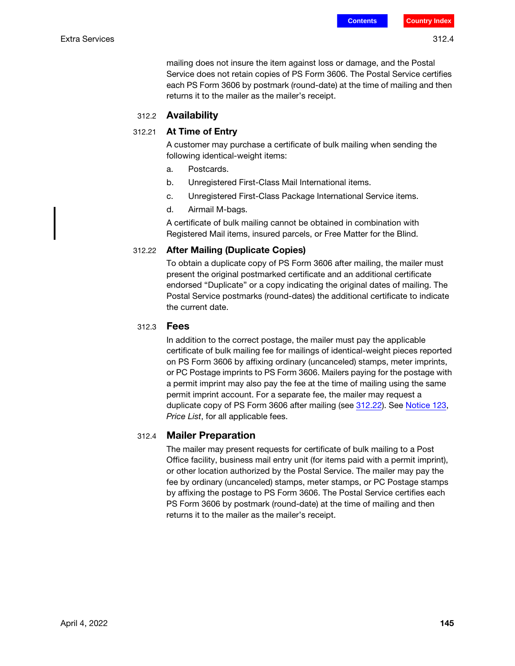mailing does not insure the item against loss or damage, and the Postal Service does not retain copies of PS Form 3606. The Postal Service certifies each PS Form 3606 by postmark (round-date) at the time of mailing and then returns it to the mailer as the mailer's receipt.

### 312.2 Availability

### 312.21 At Time of Entry

A customer may purchase a certificate of bulk mailing when sending the following identical-weight items:

- a. Postcards.
- b. Unregistered First-Class Mail International items.
- c. Unregistered First-Class Package International Service items.
- d. Airmail M-bags.

A certificate of bulk mailing cannot be obtained in combination with Registered Mail items, insured parcels, or Free Matter for the Blind.

#### <span id="page-2-0"></span>312.22 After Mailing (Duplicate Copies)

To obtain a duplicate copy of PS Form 3606 after mailing, the mailer must present the original postmarked certificate and an additional certificate endorsed "Duplicate" or a copy indicating the original dates of mailing. The Postal Service postmarks (round-dates) the additional certificate to indicate the current date.

#### 312.3 Fees

In addition to the correct postage, the mailer must pay the applicable certificate of bulk mailing fee for mailings of identical-weight pieces reported on PS Form 3606 by affixing ordinary (uncanceled) stamps, meter imprints, or PC Postage imprints to PS Form 3606. Mailers paying for the postage with a permit imprint may also pay the fee at the time of mailing using the same permit imprint account. For a separate fee, the mailer may request a duplicate copy of PS Form 3606 after mailing (see [312.22](#page-2-0)). See [Notice 123,](http://pe.usps.com/text/dmm300/Notice123.htm) Price List, for all applicable fees.

### 312.4 Mailer Preparation

The mailer may present requests for certificate of bulk mailing to a Post Office facility, business mail entry unit (for items paid with a permit imprint), or other location authorized by the Postal Service. The mailer may pay the fee by ordinary (uncanceled) stamps, meter stamps, or PC Postage stamps by affixing the postage to PS Form 3606. The Postal Service certifies each PS Form 3606 by postmark (round-date) at the time of mailing and then returns it to the mailer as the mailer's receipt.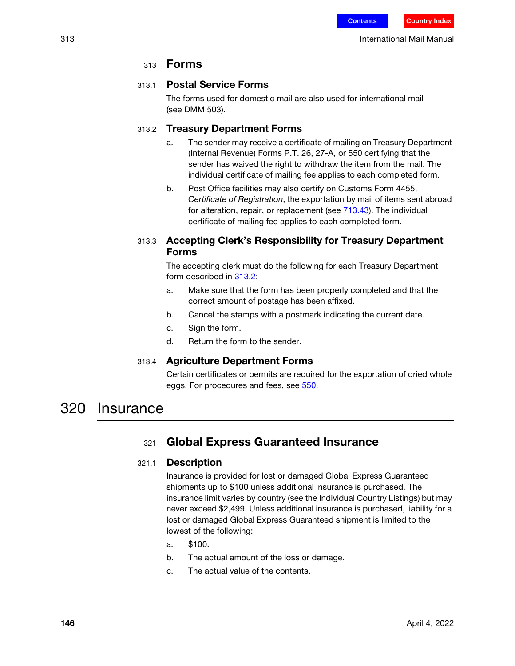### 313 **Forms**

### 313.1 Postal Service Forms

The forms used for domestic mail are also used for international mail (see DMM 503).

### <span id="page-3-0"></span>313.2 Treasury Department Forms

- a. The sender may receive a certificate of mailing on Treasury Department (Internal Revenue) Forms P.T. 26, 27-A, or 550 certifying that the sender has waived the right to withdraw the item from the mail. The individual certificate of mailing fee applies to each completed form.
- b. Post Office facilities may also certify on Customs Form 4455, Certificate of Registration, the exportation by mail of items sent abroad for alteration, repair, or replacement (see 713.43). The individual certificate of mailing fee applies to each completed form.

### 313.3 Accepting Clerk's Responsibility for Treasury Department Forms

The accepting clerk must do the following for each Treasury Department form described in [313.2](#page-3-0):

- a. Make sure that the form has been properly completed and that the correct amount of postage has been affixed.
- b. Cancel the stamps with a postmark indicating the current date.
- c. Sign the form.
- d. Return the form to the sender.

### 313.4 Agriculture Department Forms

Certain certificates or permits are required for the exportation of dried whole eggs. For procedures and fees, see 550.

## 320 Insurance

### <sup>321</sup> Global Express Guaranteed Insurance

### 321.1 Description

Insurance is provided for lost or damaged Global Express Guaranteed shipments up to \$100 unless additional insurance is purchased. The insurance limit varies by country (see the Individual Country Listings) but may never exceed \$2,499. Unless additional insurance is purchased, liability for a lost or damaged Global Express Guaranteed shipment is limited to the lowest of the following:

- a. \$100.
- b. The actual amount of the loss or damage.
- c. The actual value of the contents.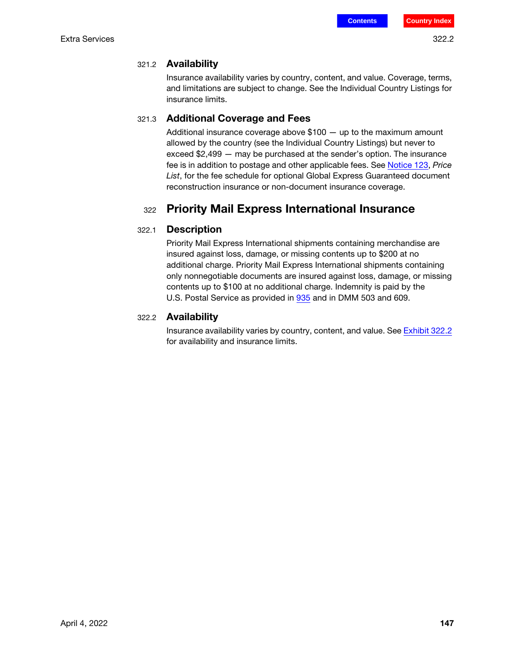### 321.2 Availability

Insurance availability varies by country, content, and value. Coverage, terms, and limitations are subject to change. See the Individual Country Listings for insurance limits.

### 321.3 Additional Coverage and Fees

Additional insurance coverage above \$100 — up to the maximum amount allowed by the country (see the Individual Country Listings) but never to exceed \$2,499 — may be purchased at the sender's option. The insurance fee is in addition to postage and other applicable fees. See [Notice 123](http://pe.usps.com/text/dmm300/Notice123.htm), Price List, for the fee schedule for optional Global Express Guaranteed document reconstruction insurance or non-document insurance coverage.

### <sup>322</sup> Priority Mail Express International Insurance

### 322.1 Description

Priority Mail Express International shipments containing merchandise are insured against loss, damage, or missing contents up to \$200 at no additional charge. Priority Mail Express International shipments containing only nonnegotiable documents are insured against loss, damage, or missing contents up to \$100 at no additional charge. Indemnity is paid by the U.S. Postal Service as provided in 935 and in DMM 503 and 609.

### 322.2 Availability

Insurance availability varies by country, content, and value. See [Exhibit 322.2](#page-5-0) for availability and insurance limits.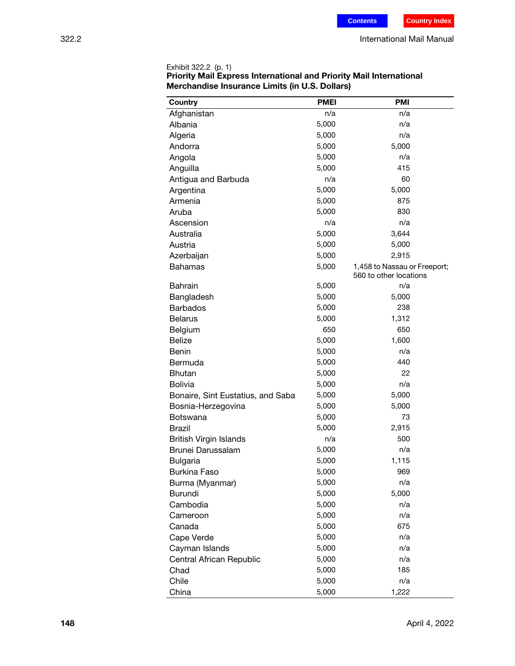| Country                           | <b>PMEI</b> | <b>PMI</b>                                             |
|-----------------------------------|-------------|--------------------------------------------------------|
| Afghanistan                       | n/a         | n/a                                                    |
| Albania                           | 5,000       | n/a                                                    |
| Algeria                           | 5,000       | n/a                                                    |
| Andorra                           | 5,000       | 5,000                                                  |
| Angola                            | 5,000       | n/a                                                    |
| Anguilla                          | 5,000       | 415                                                    |
| Antigua and Barbuda               | n/a         | 60                                                     |
| Argentina                         | 5,000       | 5,000                                                  |
| Armenia                           | 5,000       | 875                                                    |
|                                   |             | 830                                                    |
| Aruba                             | 5,000       |                                                        |
| Ascension                         | n/a         | n/a                                                    |
| Australia                         | 5,000       | 3,644                                                  |
| Austria                           | 5,000       | 5,000                                                  |
| Azerbaijan                        | 5,000       | 2,915                                                  |
| <b>Bahamas</b>                    | 5,000       | 1,458 to Nassau or Freeport;<br>560 to other locations |
| <b>Bahrain</b>                    | 5,000       | n/a                                                    |
| Bangladesh                        | 5,000       | 5,000                                                  |
| <b>Barbados</b>                   | 5,000       | 238                                                    |
| <b>Belarus</b>                    | 5,000       | 1,312                                                  |
| Belgium                           | 650         | 650                                                    |
| <b>Belize</b>                     | 5,000       | 1,600                                                  |
| Benin                             | 5,000       | n/a                                                    |
| Bermuda                           | 5,000       | 440                                                    |
| <b>Bhutan</b>                     | 5,000       | 22                                                     |
| <b>Bolivia</b>                    | 5,000       | n/a                                                    |
| Bonaire, Sint Eustatius, and Saba | 5,000       | 5,000                                                  |
| Bosnia-Herzegovina                | 5,000       | 5,000                                                  |
| <b>Botswana</b>                   | 5,000       | 73                                                     |
| Brazil                            | 5,000       | 2,915                                                  |
| <b>British Virgin Islands</b>     | n/a         | 500                                                    |
| Brunei Darussalam                 | 5,000       | n/a                                                    |
| <b>Bulgaria</b>                   | 5,000       | 1,115                                                  |
| <b>Burkina Faso</b>               | 5,000       | 969                                                    |
| Burma (Myanmar)                   | 5,000       | n/a                                                    |
| <b>Burundi</b>                    | 5,000       | 5,000                                                  |
| Cambodia                          | 5,000       | n/a                                                    |
| Cameroon                          | 5,000       | n/a                                                    |
| Canada                            | 5,000       | 675                                                    |
| Cape Verde                        | 5,000       | n/a                                                    |
| Cayman Islands                    | 5,000       | n/a                                                    |
| Central African Republic          | 5,000       | n/a                                                    |
| Chad                              | 5,000       | 185                                                    |
| Chile                             | 5,000       | n/a                                                    |
| China                             | 5,000       | 1,222                                                  |
|                                   |             |                                                        |

<span id="page-5-0"></span>Exhibit 322.2 (p. 1) Priority Mail Express International and Priority Mail International Merchandise Insurance Limits (in U.S. Dollars)

l,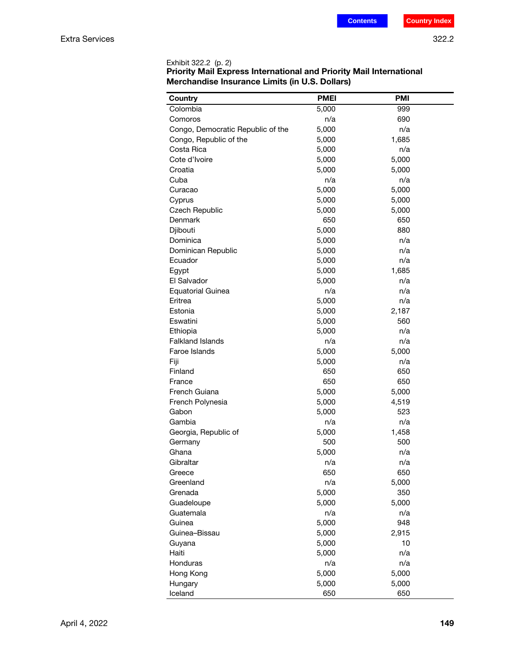| <b>Country</b>                    | <b>PMEI</b> | <b>PMI</b> |
|-----------------------------------|-------------|------------|
| Colombia                          | 5,000       | 999        |
| Comoros                           | n/a         | 690        |
| Congo, Democratic Republic of the | 5,000       | n/a        |
| Congo, Republic of the            | 5,000       | 1,685      |
| Costa Rica                        | 5,000       | n/a        |
| Cote d'Ivoire                     | 5,000       | 5,000      |
| Croatia                           | 5,000       | 5,000      |
| Cuba                              | n/a         | n/a        |
| Curacao                           | 5,000       | 5,000      |
| Cyprus                            | 5,000       | 5,000      |
| Czech Republic                    | 5,000       | 5,000      |
| Denmark                           | 650         | 650        |
| Djibouti                          | 5,000       | 880        |
| Dominica                          | 5,000       | n/a        |
| Dominican Republic                | 5,000       | n/a        |
| Ecuador                           | 5,000       | n/a        |
| Egypt                             | 5,000       | 1,685      |
| El Salvador                       | 5,000       | n/a        |
| <b>Equatorial Guinea</b>          | n/a         | n/a        |
| Eritrea                           | 5,000       | n/a        |
| Estonia                           | 5,000       | 2,187      |
| Eswatini                          | 5,000       | 560        |
| Ethiopia                          | 5,000       | n/a        |
| <b>Falkland Islands</b>           | n/a         | n/a        |
| Faroe Islands                     | 5,000       | 5,000      |
| Fiji                              | 5,000       | n/a        |
| Finland                           | 650         | 650        |
| France                            | 650         | 650        |
| French Guiana                     | 5,000       | 5,000      |
| French Polynesia                  | 5,000       | 4,519      |
| Gabon                             | 5,000       | 523        |
| Gambia                            | n/a         | n/a        |
| Georgia, Republic of              | 5,000       | 1,458      |
| Germany                           | 500         | 500        |
| Ghana                             | 5,000       | n/a        |
| Gibraltar                         | n/a         | n/a        |
| Greece                            | 650         | 650        |
| Greenland                         | n/a         | 5,000      |
| Grenada                           | 5,000       | 350        |
| Guadeloupe                        | 5,000       | 5,000      |
| Guatemala                         | n/a         | n/a        |
| Guinea                            | 5,000       | 948        |
| Guinea-Bissau                     | 5,000       | 2,915      |
| Guyana                            | 5,000       | 10         |
| Haiti                             | 5,000       | n/a        |
| Honduras                          | n/a         | n/a        |
| Hong Kong                         | 5,000       | 5,000      |
| Hungary                           | 5,000       | 5,000      |
| Iceland                           | 650         | 650        |

Exhibit 322.2 (p. 2) Priority Mail Express International and Priority Mail International Merchandise Insurance Limits (in U.S. Dollars)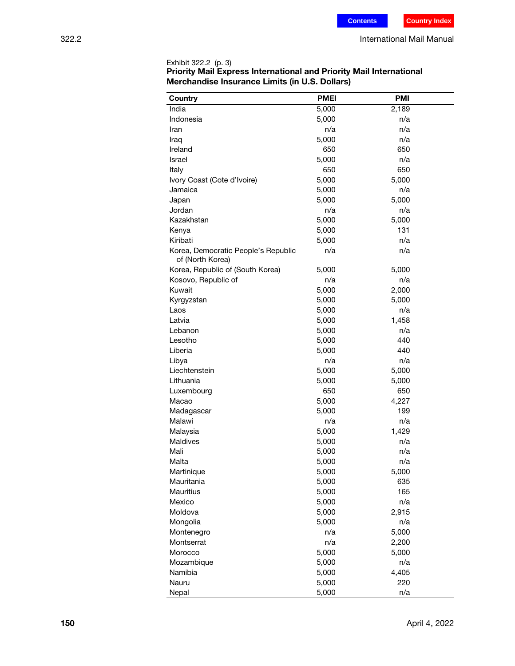| Country                                                 | <b>PMEI</b> | <b>PMI</b> |
|---------------------------------------------------------|-------------|------------|
|                                                         |             |            |
| India                                                   | 5,000       | 2,189      |
| Indonesia                                               | 5,000       | n/a        |
| Iran                                                    | n/a         | n/a        |
| Iraq                                                    | 5,000       | n/a        |
| Ireland                                                 | 650         | 650        |
| Israel                                                  | 5,000       | n/a        |
| Italy                                                   | 650         | 650        |
| Ivory Coast (Cote d'Ivoire)                             | 5,000       | 5,000      |
| Jamaica                                                 | 5,000       | n/a        |
| Japan                                                   | 5,000       | 5,000      |
| Jordan                                                  | n/a         | n/a        |
| Kazakhstan                                              | 5,000       | 5,000      |
| Kenya                                                   | 5,000       | 131        |
| Kiribati                                                | 5,000       | n/a        |
| Korea, Democratic People's Republic<br>of (North Korea) | n/a         | n/a        |
| Korea, Republic of (South Korea)                        | 5,000       | 5,000      |
| Kosovo, Republic of                                     | n/a         | n/a        |
| Kuwait                                                  | 5,000       | 2,000      |
| Kyrgyzstan                                              | 5,000       | 5,000      |
| Laos                                                    | 5,000       | n/a        |
| Latvia                                                  | 5,000       | 1,458      |
| Lebanon                                                 | 5,000       | n/a        |
| Lesotho                                                 | 5,000       | 440        |
| Liberia                                                 | 5,000       | 440        |
| Libya                                                   | n/a         | n/a        |
| Liechtenstein                                           | 5,000       | 5,000      |
| Lithuania                                               | 5,000       | 5,000      |
| Luxembourg                                              | 650         | 650        |
| Macao                                                   | 5,000       | 4,227      |
| Madagascar                                              | 5,000       | 199        |
| Malawi                                                  | n/a         | n/a        |
| Malaysia                                                | 5,000       | 1,429      |
| Maldives                                                | 5,000       | n/a        |
| Mali                                                    | 5,000       | n/a        |
| Malta                                                   | 5,000       | n/a        |
| Martinique                                              | 5,000       | 5,000      |
| Mauritania                                              | 5,000       | 635        |
| Mauritius                                               | 5,000       | 165        |
| Mexico                                                  | 5,000       | n/a        |
| Moldova                                                 | 5,000       | 2,915      |
| Mongolia                                                | 5,000       | n/a        |
| Montenegro                                              | n/a         | 5,000      |
| Montserrat                                              | n/a         | 2,200      |
| Morocco                                                 | 5,000       | 5,000      |
| Mozambique                                              | 5,000       | n/a        |
| Namibia                                                 | 5,000       | 4,405      |
| Nauru                                                   | 5,000       | 220        |
| Nepal                                                   | 5,000       | n/a        |

Exhibit 322.2 (p. 3) Priority Mail Express International and Priority Mail International Merchandise Insurance Limits (in U.S. Dollars)

Ĭ.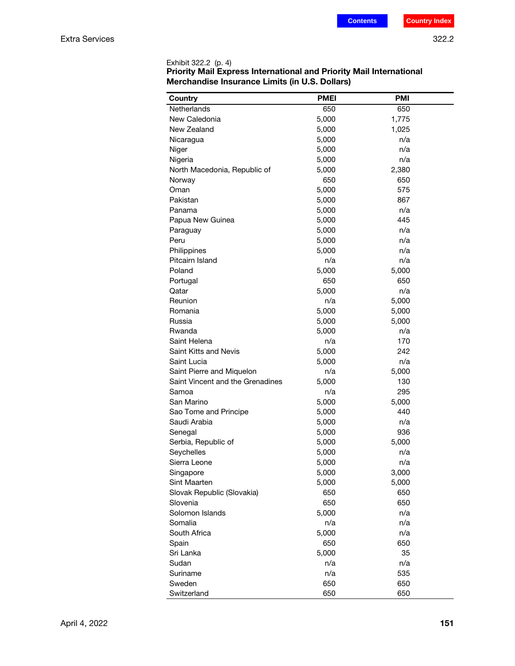| <b>Country</b>                                                | <b>PMEI</b>  | <b>PMI</b>   |
|---------------------------------------------------------------|--------------|--------------|
| Netherlands                                                   | 650          | 650          |
| New Caledonia                                                 | 5,000        | 1,775        |
| New Zealand                                                   | 5,000        | 1,025        |
| Nicaragua                                                     | 5,000        | n/a          |
| Niger                                                         | 5,000        | n/a          |
| Nigeria                                                       | 5,000        | n/a          |
| North Macedonia, Republic of                                  | 5,000        | 2,380        |
| Norway                                                        | 650          | 650          |
| Oman                                                          | 5,000        | 575          |
| Pakistan                                                      | 5,000        | 867          |
| Panama                                                        | 5,000        | n/a          |
| Papua New Guinea                                              | 5,000        | 445          |
| Paraguay                                                      | 5,000        | n/a          |
| Peru                                                          | 5,000        | n/a          |
| Philippines                                                   | 5,000        | n/a          |
| Pitcairn Island                                               | n/a          | n/a          |
| Poland                                                        | 5,000        | 5,000        |
| Portugal                                                      | 650          | 650          |
| Qatar                                                         | 5,000        | n/a          |
| Reunion                                                       | n/a          | 5,000        |
| Romania                                                       | 5,000        | 5,000        |
| Russia                                                        | 5,000        | 5,000        |
| Rwanda                                                        |              | n/a          |
| Saint Helena                                                  | 5,000<br>n/a | 170          |
| Saint Kitts and Nevis                                         |              | 242          |
| Saint Lucia                                                   | 5,000        | n/a          |
|                                                               | 5,000<br>n/a |              |
| Saint Pierre and Miquelon<br>Saint Vincent and the Grenadines |              | 5,000<br>130 |
| Samoa                                                         | 5,000<br>n/a | 295          |
| San Marino                                                    |              |              |
|                                                               | 5,000        | 5,000<br>440 |
| Sao Tome and Principe<br>Saudi Arabia                         | 5,000        | n/a          |
|                                                               | 5,000        |              |
| Senegal                                                       | 5,000        | 936          |
| Serbia, Republic of                                           | 5,000        | 5,000        |
| Seychelles                                                    | 5,000        | n/a          |
| Sierra Leone                                                  | 5,000        | n/a          |
| Singapore                                                     | 5,000        | 3,000        |
| Sint Maarten                                                  | 5,000        | 5,000        |
| Slovak Republic (Slovakia)                                    | 650          | 650          |
| Slovenia                                                      | 650          | 650          |
| Solomon Islands                                               | 5,000        | n/a          |
| Somalia                                                       | n/a          | n/a          |
| South Africa                                                  | 5,000        | n/a          |
| Spain                                                         | 650          | 650          |
| Sri Lanka                                                     | 5,000        | 35           |
| Sudan                                                         | n/a          | n/a          |
| Suriname                                                      | n/a          | 535          |
| Sweden                                                        | 650          | 650          |
| Switzerland                                                   | 650          | 650          |

| Exhibit 322.2 (p. 4)                                                       |
|----------------------------------------------------------------------------|
| <b>Priority Mail Express International and Priority Mail International</b> |
| Merchandise Insurance Limits (in U.S. Dollars)                             |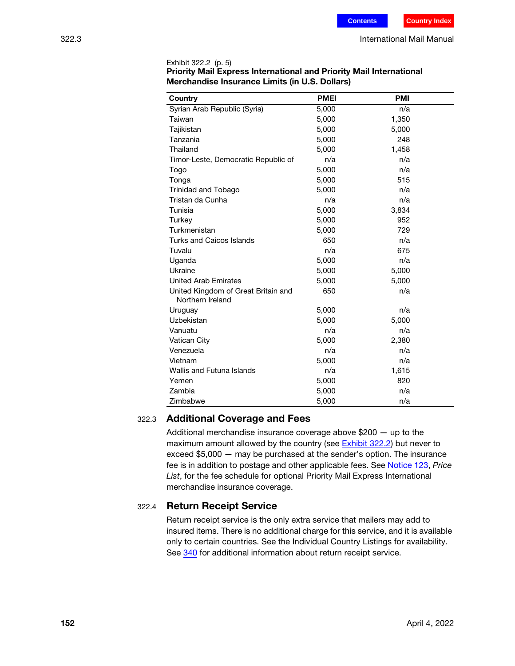| Country                             | <b>PMEI</b> | <b>PMI</b> |  |
|-------------------------------------|-------------|------------|--|
| Syrian Arab Republic (Syria)        | 5,000       | n/a        |  |
| Taiwan                              | 5,000       | 1,350      |  |
| Tajikistan                          | 5,000       | 5,000      |  |
| Tanzania                            | 5,000       | 248        |  |
| Thailand                            | 5,000       | 1,458      |  |
| Timor-Leste, Democratic Republic of | n/a         | n/a        |  |
| Togo                                | 5,000       | n/a        |  |
| Tonga                               | 5,000       | 515        |  |
| Trinidad and Tobago                 | 5,000       | n/a        |  |
| Tristan da Cunha                    | n/a         | n/a        |  |
| Tunisia                             | 5,000       | 3,834      |  |
| Turkey                              | 5,000       | 952        |  |
| Turkmenistan                        | 5,000       | 729        |  |
| <b>Turks and Caicos Islands</b>     | 650         | n/a        |  |
| Tuvalu                              | n/a         | 675        |  |
| Uganda                              | 5,000       | n/a        |  |
| Ukraine                             | 5,000       | 5,000      |  |
| <b>United Arab Emirates</b>         | 5,000       | 5,000      |  |
| United Kingdom of Great Britain and | 650         | n/a        |  |
| Northern Ireland                    |             |            |  |
| Uruguay                             | 5,000       | n/a        |  |
| Uzbekistan                          | 5,000       | 5,000      |  |
| Vanuatu                             | n/a         | n/a        |  |
| Vatican City                        | 5,000       | 2,380      |  |
| Venezuela                           | n/a         | n/a        |  |
| Vietnam                             | 5,000       | n/a        |  |
| <b>Wallis and Futuna Islands</b>    | n/a         | 1,615      |  |
| Yemen                               | 5,000       | 820        |  |
| Zambia                              | 5,000       | n/a        |  |
| Zimbabwe                            | 5,000       | n/a        |  |

| Exhibit 322.2 (p. 5)                                                       |
|----------------------------------------------------------------------------|
| <b>Priority Mail Express International and Priority Mail International</b> |
| Merchandise Insurance Limits (in U.S. Dollars)                             |

### 322.3 Additional Coverage and Fees

Additional merchandise insurance coverage above \$200 — up to the maximum amount allowed by the country (see **Exhibit 322.2**) but never to exceed \$5,000 — may be purchased at the sender's option. The insurance fee is in addition to postage and other applicable fees. See [Notice 123](http://pe.usps.com/text/dmm300/Notice123.htm), Price List, for the fee schedule for optional Priority Mail Express International merchandise insurance coverage.

### 322.4 Return Receipt Service

Return receipt service is the only extra service that mailers may add to insured items. There is no additional charge for this service, and it is available only to certain countries. See the Individual Country Listings for availability. See [340](#page-14-0) for additional information about return receipt service.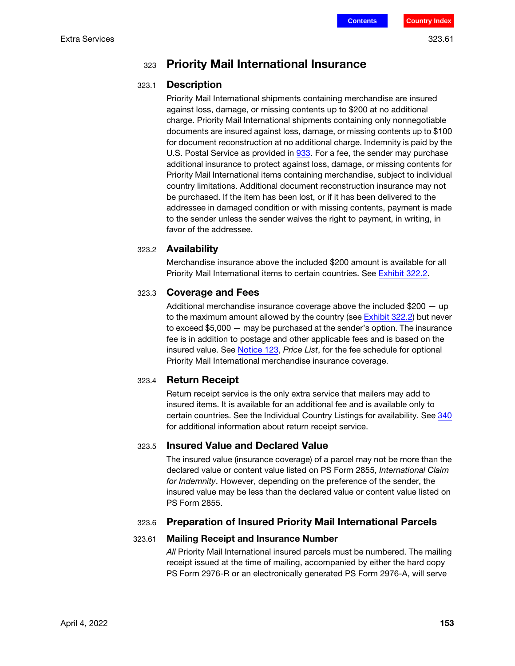### <sup>323</sup> Priority Mail International Insurance

### 323.1 Description

Priority Mail International shipments containing merchandise are insured against loss, damage, or missing contents up to \$200 at no additional charge. Priority Mail International shipments containing only nonnegotiable documents are insured against loss, damage, or missing contents up to \$100 for document reconstruction at no additional charge. Indemnity is paid by the U.S. Postal Service as provided in 933. For a fee, the sender may purchase additional insurance to protect against loss, damage, or missing contents for Priority Mail International items containing merchandise, subject to individual country limitations. Additional document reconstruction insurance may not be purchased. If the item has been lost, or if it has been delivered to the addressee in damaged condition or with missing contents, payment is made to the sender unless the sender waives the right to payment, in writing, in favor of the addressee.

### 323.2 Availability

Merchandise insurance above the included \$200 amount is available for all Priority Mail International items to certain countries. See [Exhibit 322.2](#page-5-0).

### 323.3 Coverage and Fees

Additional merchandise insurance coverage above the included  $$200 - up$ to the maximum amount allowed by the country (see [Exhibit 322.2\)](#page-5-0) but never to exceed \$5,000 — may be purchased at the sender's option. The insurance fee is in addition to postage and other applicable fees and is based on the insured value. See [Notice 123](http://pe.usps.com/text/dmm300/Notice123.htm), Price List, for the fee schedule for optional Priority Mail International merchandise insurance coverage.

### 323.4 Return Receipt

Return receipt service is the only extra service that mailers may add to insured items. It is available for an additional fee and is available only to certain countries. See the Individual Country Listings for availability. See [340](#page-14-0) for additional information about return receipt service.

### 323.5 Insured Value and Declared Value

The insured value (insurance coverage) of a parcel may not be more than the declared value or content value listed on PS Form 2855, International Claim for Indemnity. However, depending on the preference of the sender, the insured value may be less than the declared value or content value listed on PS Form 2855.

### 323.6 Preparation of Insured Priority Mail International Parcels

### 323.61 Mailing Receipt and Insurance Number

All Priority Mail International insured parcels must be numbered. The mailing receipt issued at the time of mailing, accompanied by either the hard copy PS Form 2976-R or an electronically generated PS Form 2976-A, will serve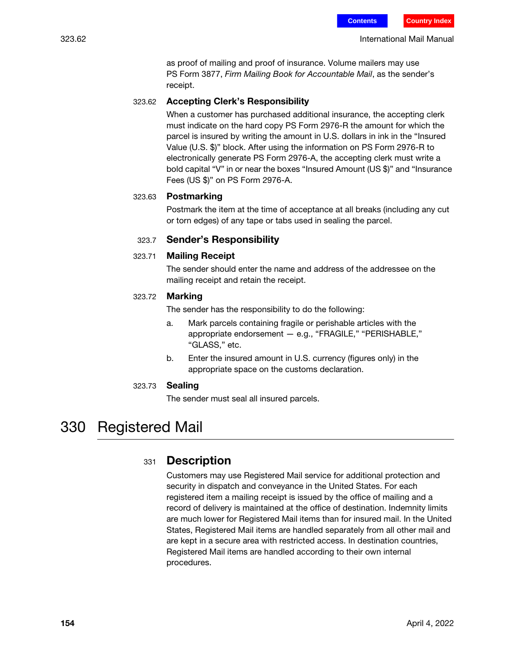323.62 International Mail Manual

as proof of mailing and proof of insurance. Volume mailers may use PS Form 3877, Firm Mailing Book for Accountable Mail, as the sender's receipt.

### 323.62 Accepting Clerk's Responsibility

When a customer has purchased additional insurance, the accepting clerk must indicate on the hard copy PS Form 2976-R the amount for which the parcel is insured by writing the amount in U.S. dollars in ink in the "Insured Value (U.S. \$)" block. After using the information on PS Form 2976-R to electronically generate PS Form 2976-A, the accepting clerk must write a bold capital "V" in or near the boxes "Insured Amount (US \$)" and "Insurance Fees (US \$)" on PS Form 2976-A.

### 323.63 Postmarking

Postmark the item at the time of acceptance at all breaks (including any cut or torn edges) of any tape or tabs used in sealing the parcel.

### 323.7 Sender's Responsibility

### 323.71 Mailing Receipt

The sender should enter the name and address of the addressee on the mailing receipt and retain the receipt.

### 323.72 Marking

The sender has the responsibility to do the following:

- a. Mark parcels containing fragile or perishable articles with the appropriate endorsement — e.g., "FRAGILE," "PERISHABLE," "GLASS," etc.
- b. Enter the insured amount in U.S. currency (figures only) in the appropriate space on the customs declaration.

#### 323.73 Sealing

The sender must seal all insured parcels.

## 330 Registered Mail

### 331 **Description**

Customers may use Registered Mail service for additional protection and security in dispatch and conveyance in the United States. For each registered item a mailing receipt is issued by the office of mailing and a record of delivery is maintained at the office of destination. Indemnity limits are much lower for Registered Mail items than for insured mail. In the United States, Registered Mail items are handled separately from all other mail and are kept in a secure area with restricted access. In destination countries, Registered Mail items are handled according to their own internal procedures.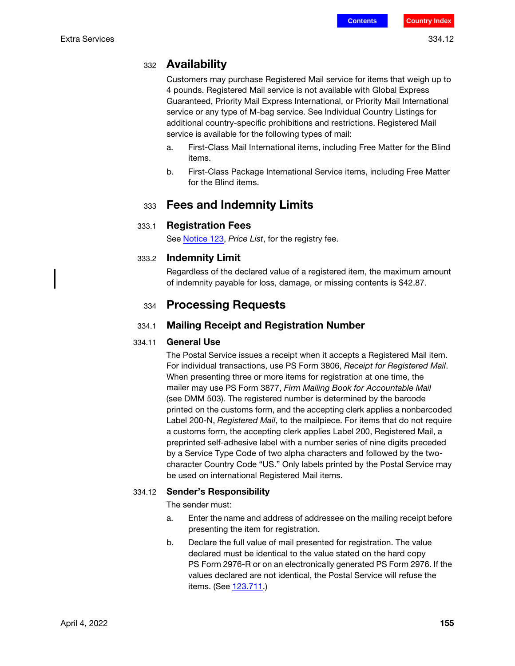Customers may purchase Registered Mail service for items that weigh up to 4 pounds. Registered Mail service is not available with Global Express Guaranteed, Priority Mail Express International, or Priority Mail International service or any type of M-bag service. See Individual Country Listings for additional country-specific prohibitions and restrictions. Registered Mail service is available for the following types of mail:

- a. First-Class Mail International items, including Free Matter for the Blind items.
- b. First-Class Package International Service items, including Free Matter for the Blind items.

### 333 Fees and Indemnity Limits

### 333.1 Registration Fees

See **[Notice 123](http://pe.usps.com/text/dmm300/Notice123.htm)**, Price List, for the registry fee.

### 333.2 Indemnity Limit

Regardless of the declared value of a registered item, the maximum amount of indemnity payable for loss, damage, or missing contents is \$42.87.

### 334 **Processing Requests**

### 334.1 Mailing Receipt and Registration Number

### 334.11 **General Use**

The Postal Service issues a receipt when it accepts a Registered Mail item. For individual transactions, use PS Form 3806, Receipt for Registered Mail. When presenting three or more items for registration at one time, the mailer may use PS Form 3877, Firm Mailing Book for Accountable Mail (see DMM 503). The registered number is determined by the barcode printed on the customs form, and the accepting clerk applies a nonbarcoded Label 200-N, Registered Mail, to the mailpiece. For items that do not require a customs form, the accepting clerk applies Label 200, Registered Mail, a preprinted self-adhesive label with a number series of nine digits preceded by a Service Type Code of two alpha characters and followed by the twocharacter Country Code "US." Only labels printed by the Postal Service may be used on international Registered Mail items.

### 334.12 Sender's Responsibility

The sender must:

- a. Enter the name and address of addressee on the mailing receipt before presenting the item for registration.
- b. Declare the full value of mail presented for registration. The value declared must be identical to the value stated on the hard copy PS Form 2976-R or on an electronically generated PS Form 2976. If the values declared are not identical, the Postal Service will refuse the items. (See 123.711.)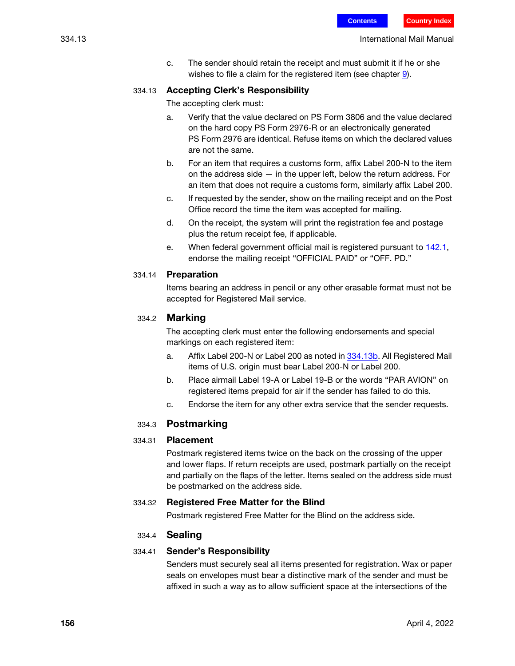c. The sender should retain the receipt and must submit it if he or she wishes to file a claim for the registered item (see chapter 9).

### <span id="page-13-0"></span>334.13 Accepting Clerk's Responsibility

The accepting clerk must:

- a. Verify that the value declared on PS Form 3806 and the value declared on the hard copy PS Form 2976-R or an electronically generated PS Form 2976 are identical. Refuse items on which the declared values are not the same.
- b. For an item that requires a customs form, affix Label 200-N to the item on the address side  $-$  in the upper left, below the return address. For an item that does not require a customs form, similarly affix Label 200.
- c. If requested by the sender, show on the mailing receipt and on the Post Office record the time the item was accepted for mailing.
- d. On the receipt, the system will print the registration fee and postage plus the return receipt fee, if applicable.
- e. When federal government official mail is registered pursuant to 142.1, endorse the mailing receipt "OFFICIAL PAID" or "OFF. PD."

#### 334.14 Preparation

Items bearing an address in pencil or any other erasable format must not be accepted for Registered Mail service.

### 334.2 Marking

The accepting clerk must enter the following endorsements and special markings on each registered item:

- a. Affix Label 200-N or Label 200 as noted in [334.13](#page-13-0)b. All Registered Mail items of U.S. origin must bear Label 200-N or Label 200.
- b. Place airmail Label 19-A or Label 19-B or the words "PAR AVION" on registered items prepaid for air if the sender has failed to do this.
- c. Endorse the item for any other extra service that the sender requests.

### 334.3 Postmarking

### 334.31 Placement

Postmark registered items twice on the back on the crossing of the upper and lower flaps. If return receipts are used, postmark partially on the receipt and partially on the flaps of the letter. Items sealed on the address side must be postmarked on the address side.

### 334.32 Registered Free Matter for the Blind

Postmark registered Free Matter for the Blind on the address side.

### 334.4 Sealing

### 334.41 Sender's Responsibility

Senders must securely seal all items presented for registration. Wax or paper seals on envelopes must bear a distinctive mark of the sender and must be affixed in such a way as to allow sufficient space at the intersections of the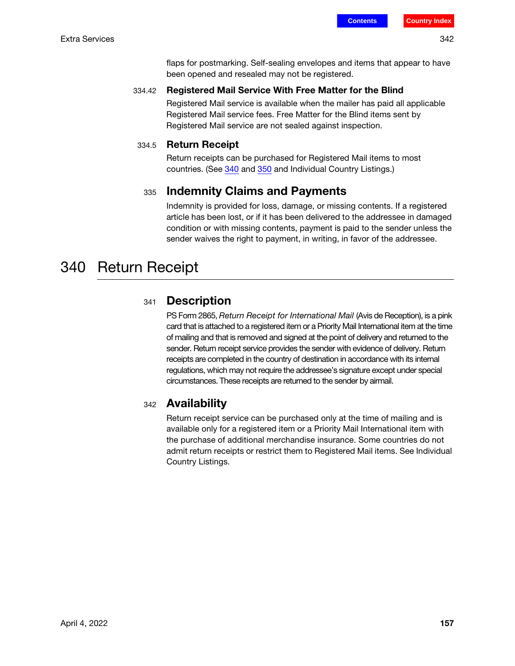flaps for postmarking. Self-sealing envelopes and items that appear to have been opened and resealed may not be registered.

### 334.42 Registered Mail Service With Free Matter for the Blind

Registered Mail service is available when the mailer has paid all applicable Registered Mail service fees. Free Matter for the Blind items sent by Registered Mail service are not sealed against inspection.

### 334.5 Return Receipt

Return receipts can be purchased for Registered Mail items to most countries. (See [340](#page-14-0) and [350](#page-15-0) and Individual Country Listings.)

### <sup>335</sup> Indemnity Claims and Payments

Indemnity is provided for loss, damage, or missing contents. If a registered article has been lost, or if it has been delivered to the addressee in damaged condition or with missing contents, payment is paid to the sender unless the sender waives the right to payment, in writing, in favor of the addressee.

## <span id="page-14-0"></span>340 Return Receipt

### 341 **Description**

PS Form 2865, Return Receipt for International Mail (Avis de Reception), is a pink card that is attached to a registered item or a Priority Mail International item at the time of mailing and that is removed and signed at the point of delivery and returned to the sender. Return receipt service provides the sender with evidence of delivery. Return receipts are completed in the country of destination in accordance with its internal regulations, which may not require the addressee's signature except under special circumstances. These receipts are returned to the sender by airmail.

### 342 **Availability**

Return receipt service can be purchased only at the time of mailing and is available only for a registered item or a Priority Mail International item with the purchase of additional merchandise insurance. Some countries do not admit return receipts or restrict them to Registered Mail items. See Individual Country Listings.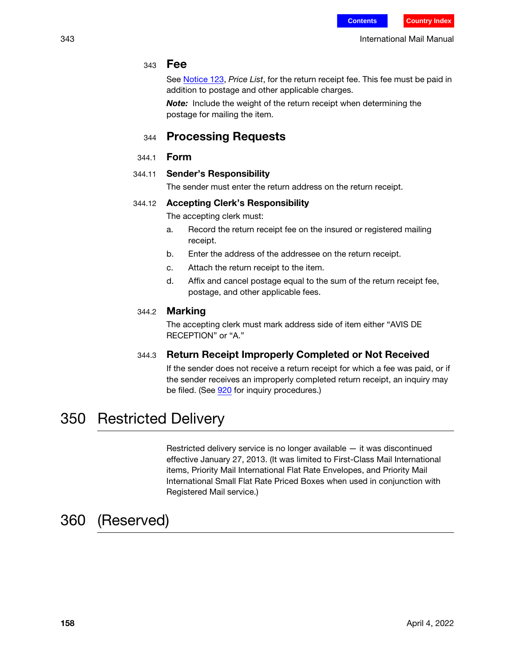### <sup>343</sup> Fee

See [Notice 123](http://pe.usps.com/text/dmm300/Notice123.htm), Price List, for the return receipt fee. This fee must be paid in addition to postage and other applicable charges.

**Note:** Include the weight of the return receipt when determining the postage for mailing the item.

### <sup>344</sup> Processing Requests

344.1 Form

### 344.11 Sender's Responsibility

The sender must enter the return address on the return receipt.

### 344.12 Accepting Clerk's Responsibility

The accepting clerk must:

- a. Record the return receipt fee on the insured or registered mailing receipt.
- b. Enter the address of the addressee on the return receipt.
- c. Attach the return receipt to the item.
- d. Affix and cancel postage equal to the sum of the return receipt fee, postage, and other applicable fees.

### 344.2 Marking

The accepting clerk must mark address side of item either "AVIS DE RECEPTION" or "A."

### 344.3 Return Receipt Improperly Completed or Not Received

If the sender does not receive a return receipt for which a fee was paid, or if the sender receives an improperly completed return receipt, an inquiry may be filed. (See 920 for inquiry procedures.)

## <span id="page-15-0"></span>350 Restricted Delivery

Restricted delivery service is no longer available — it was discontinued effective January 27, 2013. (It was limited to First-Class Mail International items, Priority Mail International Flat Rate Envelopes, and Priority Mail International Small Flat Rate Priced Boxes when used in conjunction with Registered Mail service.)

## 360 (Reserved)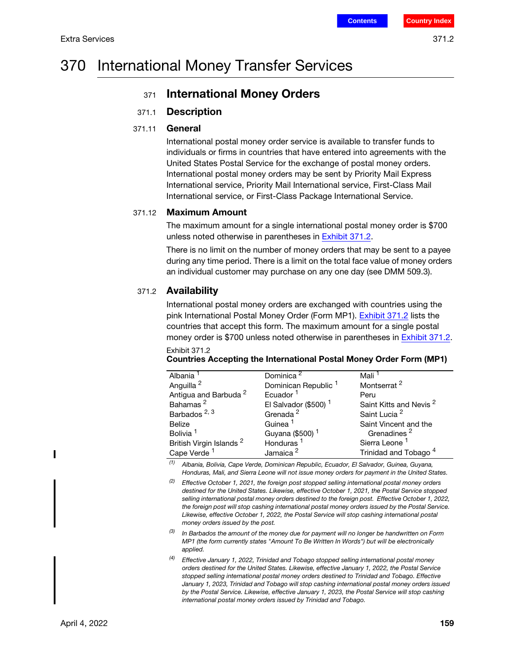## 370 International Money Transfer Services

### 371 International Money Orders

### 371.1 Description

### 371.11 General

International postal money order service is available to transfer funds to individuals or firms in countries that have entered into agreements with the United States Postal Service for the exchange of postal money orders. International postal money orders may be sent by Priority Mail Express International service, Priority Mail International service, First-Class Mail International service, or First-Class Package International Service.

### 371.12 Maximum Amount

The maximum amount for a single international postal money order is \$700 unless noted otherwise in parentheses in [Exhibit 371.2](#page-16-0).

There is no limit on the number of money orders that may be sent to a payee during any time period. There is a limit on the total face value of money orders an individual customer may purchase on any one day (see DMM 509.3).

### 371.2 Availability

International postal money orders are exchanged with countries using the pink International Postal Money Order (Form MP1). [Exhibit 371.2](#page-16-0) lists the countries that accept this form. The maximum amount for a single postal money order is \$700 unless noted otherwise in parentheses in **Exhibit 371.2**. Exhibit 371.2

<span id="page-16-0"></span>

|  | Countries Accepting the International Postal Money Order Form (MP1) |  |
|--|---------------------------------------------------------------------|--|
|  |                                                                     |  |
|  |                                                                     |  |

| Albania                             | Dominica <sup>2</sup>           | Mali                               |
|-------------------------------------|---------------------------------|------------------------------------|
| Anguilla <sup>2</sup>               | Dominican Republic <sup>1</sup> | Montserrat <sup>2</sup>            |
| Antigua and Barbuda <sup>2</sup>    | Ecuador <sup>1</sup>            | Peru                               |
| Bahamas <sup>2</sup>                | El Salvador (\$500) $1$         | Saint Kitts and Nevis <sup>2</sup> |
| Barbados <sup>2, 3</sup>            | Grenada <sup>2</sup>            | Saint Lucia <sup>2</sup>           |
| <b>Belize</b>                       | Guinea <sup>1</sup>             | Saint Vincent and the              |
| Bolivia <sup>1</sup>                | Guyana (\$500) <sup>1</sup>     | Grenadines <sup>2</sup>            |
| British Virgin Islands <sup>2</sup> | Honduras <sup>1</sup>           | Sierra Leone <sup>1</sup>          |
| Cape Verde <sup>1</sup>             | Jamaica <sup>2</sup>            | Trinidad and Tobago <sup>4</sup>   |

(1) Albania, Bolivia, Cape Verde, Dominican Republic, Ecuador, El Salvador, Guinea, Guyana, Honduras, Mali, and Sierra Leone will not issue money orders for payment in the United States.

 $(2)$  Effective October 1, 2021, the foreign post stopped selling international postal money orders destined for the United States. Likewise, effective October 1, 2021, the Postal Service stopped selling international postal money orders destined to the foreign post. Effective October 1, 2022, the foreign post will stop cashing international postal money orders issued by the Postal Service. Likewise, effective October 1, 2022, the Postal Service will stop cashing international postal money orders issued by the post.

 $(3)$  In Barbados the amount of the money due for payment will no longer be handwritten on Form MP1 (the form currently states "Amount To Be Written In Words") but will be electronically applied.

 $(4)$  Effective January 1, 2022, Trinidad and Tobago stopped selling international postal money orders destined for the United States. Likewise, effective January 1, 2022, the Postal Service stopped selling international postal money orders destined to Trinidad and Tobago. Effective January 1, 2023, Trinidad and Tobago will stop cashing international postal money orders issued by the Postal Service. Likewise, effective January 1, 2023, the Postal Service will stop cashing international postal money orders issued by Trinidad and Tobago.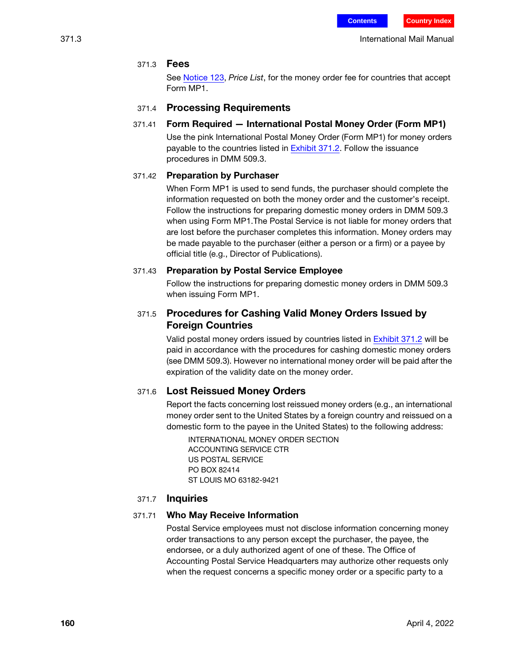### 371.3 Fees

See [Notice 123,](http://pe.usps.com/text/dmm300/Notice123.htm) Price List, for the money order fee for countries that accept Form MP1.

### 371.4 Processing Requirements

### 371.41 Form Required — International Postal Money Order (Form MP1)

Use the pink International Postal Money Order (Form MP1) for money orders payable to the countries listed in [Exhibit 371.2.](#page-16-0) Follow the issuance procedures in DMM 509.3.

### 371.42 Preparation by Purchaser

When Form MP1 is used to send funds, the purchaser should complete the information requested on both the money order and the customer's receipt. Follow the instructions for preparing domestic money orders in DMM 509.3 when using Form MP1.The Postal Service is not liable for money orders that are lost before the purchaser completes this information. Money orders may be made payable to the purchaser (either a person or a firm) or a payee by official title (e.g., Director of Publications).

#### 371.43 Preparation by Postal Service Employee

Follow the instructions for preparing domestic money orders in DMM 509.3 when issuing Form MP1.

### 371.5 Procedures for Cashing Valid Money Orders Issued by Foreign Countries

Valid postal money orders issued by countries listed in [Exhibit 371.2](#page-16-0) will be paid in accordance with the procedures for cashing domestic money orders (see DMM 509.3). However no international money order will be paid after the expiration of the validity date on the money order.

### 371.6 Lost Reissued Money Orders

Report the facts concerning lost reissued money orders (e.g., an international money order sent to the United States by a foreign country and reissued on a domestic form to the payee in the United States) to the following address:

INTERNATIONAL MONEY ORDER SECTION ACCOUNTING SERVICE CTR US POSTAL SERVICE PO BOX 82414 ST LOUIS MO 63182-9421

### 371.7 Inquiries

### 371.71 Who May Receive Information

Postal Service employees must not disclose information concerning money order transactions to any person except the purchaser, the payee, the endorsee, or a duly authorized agent of one of these. The Office of Accounting Postal Service Headquarters may authorize other requests only when the request concerns a specific money order or a specific party to a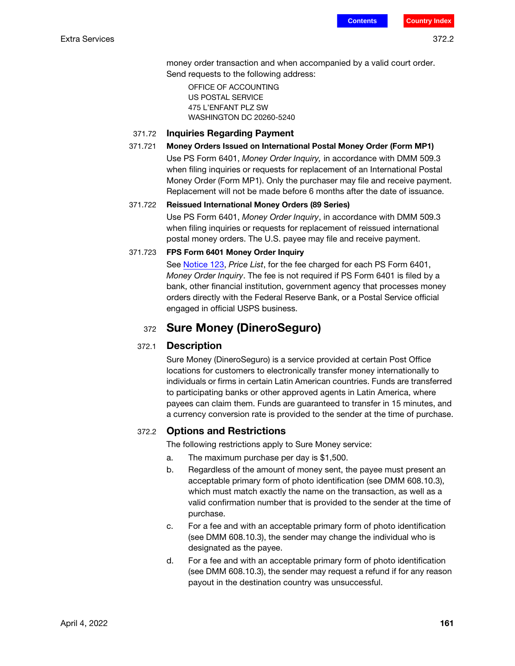money order transaction and when accompanied by a valid court order. Send requests to the following address:

OFFICE OF ACCOUNTING US POSTAL SERVICE 475 L'ENFANT PLZ SW WASHINGTON DC 20260-5240

#### 371.72 Inquiries Regarding Payment

#### 371.721 Money Orders Issued on International Postal Money Order (Form MP1)

Use PS Form 6401, Money Order Inquiry, in accordance with DMM 509.3 when filing inquiries or requests for replacement of an International Postal Money Order (Form MP1). Only the purchaser may file and receive payment. Replacement will not be made before 6 months after the date of issuance.

#### 371.722 Reissued International Money Orders (89 Series)

Use PS Form 6401, Money Order Inquiry, in accordance with DMM 509.3 when filing inquiries or requests for replacement of reissued international postal money orders. The U.S. payee may file and receive payment.

#### 371.723 FPS Form 6401 Money Order Inquiry

See [Notice 123,](http://pe.usps.com/text/dmm300/Notice123.htm) Price List, for the fee charged for each PS Form 6401, Money Order Inquiry. The fee is not required if PS Form 6401 is filed by a bank, other financial institution, government agency that processes money orders directly with the Federal Reserve Bank, or a Postal Service official engaged in official USPS business.

### <sup>372</sup> Sure Money (DineroSeguro)

#### 372.1 Description

Sure Money (DineroSeguro) is a service provided at certain Post Office locations for customers to electronically transfer money internationally to individuals or firms in certain Latin American countries. Funds are transferred to participating banks or other approved agents in Latin America, where payees can claim them. Funds are guaranteed to transfer in 15 minutes, and a currency conversion rate is provided to the sender at the time of purchase.

#### 372.2 Options and Restrictions

The following restrictions apply to Sure Money service:

- a. The maximum purchase per day is \$1,500.
- b. Regardless of the amount of money sent, the payee must present an acceptable primary form of photo identification (see DMM 608.10.3), which must match exactly the name on the transaction, as well as a valid confirmation number that is provided to the sender at the time of purchase.
- c. For a fee and with an acceptable primary form of photo identification (see DMM 608.10.3), the sender may change the individual who is designated as the payee.
- d. For a fee and with an acceptable primary form of photo identification (see DMM 608.10.3), the sender may request a refund if for any reason payout in the destination country was unsuccessful.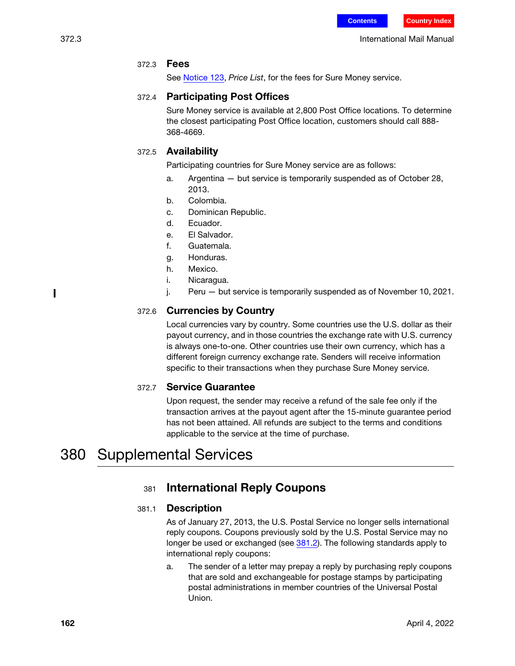### 372.3 Fees

[See N](http://pe.usps.com/text/dmm300/Notice123.htm)otice 123, Price List, for the fees for Sure Money service.

### 372.4 Participating Post Offices

Sure Money service is available at 2,800 Post Office locations. To determine the closest participating Post Office location, customers should call 888- 368-4669.

### 372.5 Availability

Participating countries for Sure Money service are as follows:

- a. Argentina but service is temporarily suspended as of October 28, 2013.
- b. Colombia.
- c. Dominican Republic.
- d. Ecuador.
- e. El Salvador.
- f. Guatemala.
- g. Honduras.
- h. Mexico.
- i. Nicaragua.
- j. Peru but service is temporarily suspended as of November 10, 2021.

### 372.6 Currencies by Country

Local currencies vary by country. Some countries use the U.S. dollar as their payout currency, and in those countries the exchange rate with U.S. currency is always one-to-one. Other countries use their own currency, which has a different foreign currency exchange rate. Senders will receive information specific to their transactions when they purchase Sure Money service.

### 372.7 Service Guarantee

Upon request, the sender may receive a refund of the sale fee only if the transaction arrives at the payout agent after the 15-minute guarantee period has not been attained. All refunds are subject to the terms and conditions applicable to the service at the time of purchase.

## 380 Supplemental Services

### <sup>381</sup> International Reply Coupons

### 381.1 Description

As of January 27, 2013, the U.S. Postal Service no longer sells international reply coupons. Coupons previously sold by the U.S. Postal Service may no longer be used or exchanged (see [381.2\)](#page-20-0). The following standards apply to international reply coupons:

a. The sender of a letter may prepay a reply by purchasing reply coupons that are sold and exchangeable for postage stamps by participating postal administrations in member countries of the Universal Postal Union.

Π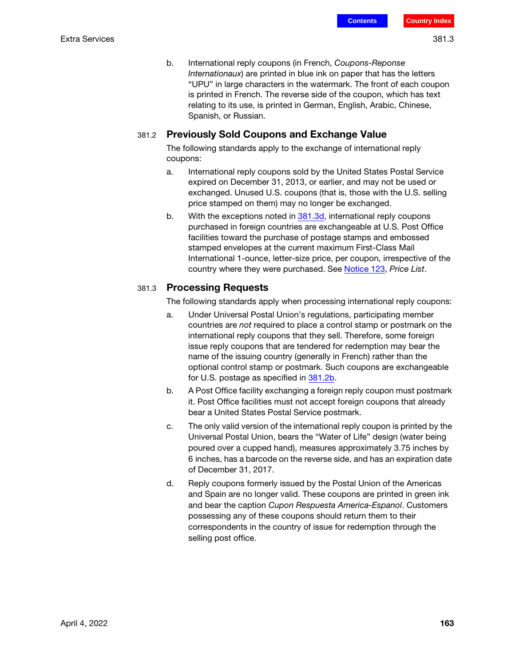b. International reply coupons (in French, Coupons-Reponse Internationaux) are printed in blue ink on paper that has the letters "UPU" in large characters in the watermark. The front of each coupon is printed in French. The reverse side of the coupon, which has text relating to its use, is printed in German, English, Arabic, Chinese, Spanish, or Russian.

### <span id="page-20-0"></span>381.2 Previously Sold Coupons and Exchange Value

The following standards apply to the exchange of international reply coupons:

- a. International reply coupons sold by the United States Postal Service expired on December 31, 2013, or earlier, and may not be used or exchanged. Unused U.S. coupons (that is, those with the U.S. selling price stamped on them) may no longer be exchanged.
- <span id="page-20-3"></span>b. With the exceptions noted in [381.3](#page-20-1)[d](#page-20-2), international reply coupons purchased in foreign countries are exchangeable at U.S. Post Office facilities toward the purchase of postage stamps and embossed stamped envelopes at the current maximum First-Class Mail International 1-ounce, letter-size price, per coupon, irrespective of the country where they were purchased. See [Notice 123,](http://pe.usps.com/text/dmm300/Notice123.htm) Price List.

### <span id="page-20-1"></span>381.3 Processing Requests

The following standards apply when processing international reply coupons:

- a. Under Universal Postal Union's regulations, participating member countries are not required to place a control stamp or postmark on the international reply coupons that they sell. Therefore, some foreign issue reply coupons that are tendered for redemption may bear the name of the issuing country (generally in French) rather than the optional control stamp or postmark. Such coupons are exchangeable for U.S. postage as specified in [381.2](#page-20-0)[b.](#page-20-3)
- b. A Post Office facility exchanging a foreign reply coupon must postmark it. Post Office facilities must not accept foreign coupons that already bear a United States Postal Service postmark.
- c. The only valid version of the international reply coupon is printed by the Universal Postal Union, bears the "Water of Life" design (water being poured over a cupped hand), measures approximately 3.75 inches by 6 inches, has a barcode on the reverse side, and has an expiration date of December 31, 2017.
- <span id="page-20-2"></span>d. Reply coupons formerly issued by the Postal Union of the Americas and Spain are no longer valid. These coupons are printed in green ink and bear the caption Cupon Respuesta America-Espanol. Customers possessing any of these coupons should return them to their correspondents in the country of issue for redemption through the selling post office.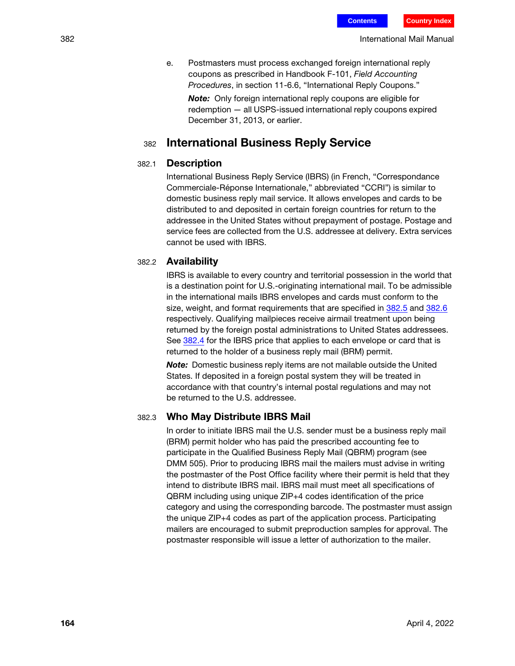e. Postmasters must process exchanged foreign international reply coupons as prescribed in Handbook F-101, Field Accounting Procedures, in section 11-6.6, "International Reply Coupons."

**Note:** Only foreign international reply coupons are eligible for redemption — all USPS-issued international reply coupons expired December 31, 2013, or earlier.

### <sup>382</sup> International Business Reply Service

#### 382.1 Description

International Business Reply Service (IBRS) (in French, "Correspondance Commerciale-Réponse Internationale," abbreviated "CCRI") is similar to domestic business reply mail service. It allows envelopes and cards to be distributed to and deposited in certain foreign countries for return to the addressee in the United States without prepayment of postage. Postage and service fees are collected from the U.S. addressee at delivery. Extra services cannot be used with IBRS.

#### 382.2 Availability

IBRS is available to every country and territorial possession in the world that is a destination point for U.S.-originating international mail. To be admissible in the international mails IBRS envelopes and cards must conform to the size, weight, and format requirements that are specified in [382.5](#page-22-0) and [382.6](#page-22-1) respectively. Qualifying mailpieces receive airmail treatment upon being returned by the foreign postal administrations to United States addressees. See [382.4](#page-22-2) for the IBRS price that applies to each envelope or card that is returned to the holder of a business reply mail (BRM) permit.

Note: Domestic business reply items are not mailable outside the United States. If deposited in a foreign postal system they will be treated in accordance with that country's internal postal regulations and may not be returned to the U.S. addressee.

#### 382.3 Who May Distribute IBRS Mail

In order to initiate IBRS mail the U.S. sender must be a business reply mail (BRM) permit holder who has paid the prescribed accounting fee to participate in the Qualified Business Reply Mail (QBRM) program (see DMM 505). Prior to producing IBRS mail the mailers must advise in writing the postmaster of the Post Office facility where their permit is held that they intend to distribute IBRS mail. IBRS mail must meet all specifications of QBRM including using unique ZIP+4 codes identification of the price category and using the corresponding barcode. The postmaster must assign the unique ZIP+4 codes as part of the application process. Participating mailers are encouraged to submit preproduction samples for approval. The postmaster responsible will issue a letter of authorization to the mailer.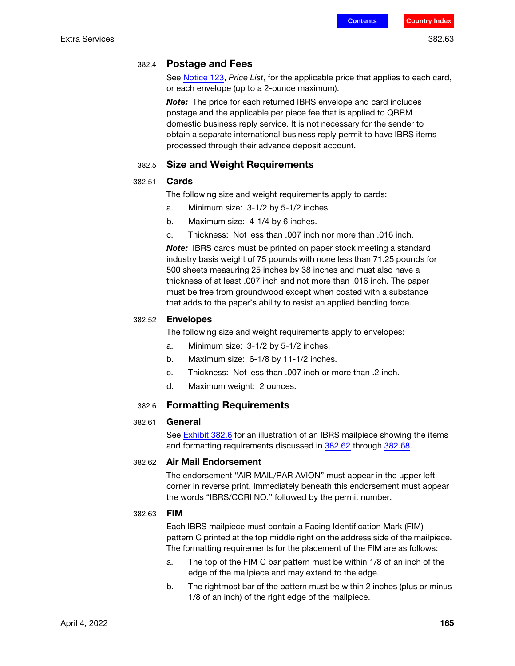<span id="page-22-2"></span>See [Notice 123](http://pe.usps.com/text/dmm300/Notice123.htm), Price List, for the applicable price that applies to each card, or each envelope (up to a 2-ounce maximum).

Note: The price for each returned IBRS envelope and card includes postage and the applicable per piece fee that is applied to QBRM domestic business reply service. It is not necessary for the sender to obtain a separate international business reply permit to have IBRS items processed through their advance deposit account.

### 382.5 Size and Weight Requirements

#### <span id="page-22-0"></span>382.51 Cards

The following size and weight requirements apply to cards:

- a. Minimum size: 3-1/2 by 5-1/2 inches.
- b. Maximum size: 4-1/4 by 6 inches.
- c. Thickness: Not less than .007 inch nor more than .016 inch.

**Note:** IBRS cards must be printed on paper stock meeting a standard industry basis weight of 75 pounds with none less than 71.25 pounds for 500 sheets measuring 25 inches by 38 inches and must also have a thickness of at least .007 inch and not more than .016 inch. The paper must be free from groundwood except when coated with a substance that adds to the paper's ability to resist an applied bending force.

#### 382.52 Envelopes

The following size and weight requirements apply to envelopes:

- a. Minimum size: 3-1/2 by 5-1/2 inches.
- b. Maximum size: 6-1/8 by 11-1/2 inches.
- c. Thickness: Not less than .007 inch or more than .2 inch.
- d. Maximum weight: 2 ounces.

#### 382.6 Formatting Requirements

#### <span id="page-22-1"></span>382.61 General

See [Exhibit 382.6](#page-25-0) for an illustration of an IBRS mailpiece showing the items and formatting requirements discussed in [382.62](#page-22-3) through [382.68.](#page-24-0)

#### <span id="page-22-3"></span>382.62 Air Mail Endorsement

The endorsement "AIR MAIL/PAR AVION" must appear in the upper left corner in reverse print. Immediately beneath this endorsement must appear the words "IBRS/CCRI NO." followed by the permit number.

#### 382.63 FIM

Each IBRS mailpiece must contain a Facing Identification Mark (FIM) pattern C printed at the top middle right on the address side of the mailpiece. The formatting requirements for the placement of the FIM are as follows:

- a. The top of the FIM C bar pattern must be within 1/8 of an inch of the edge of the mailpiece and may extend to the edge.
- b. The rightmost bar of the pattern must be within 2 inches (plus or minus 1/8 of an inch) of the right edge of the mailpiece.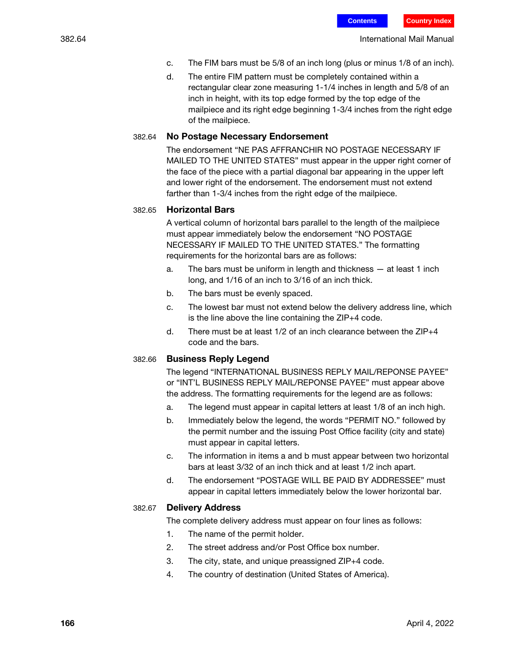- c. The FIM bars must be 5/8 of an inch long (plus or minus 1/8 of an inch).
- d. The entire FIM pattern must be completely contained within a rectangular clear zone measuring 1-1/4 inches in length and 5/8 of an inch in height, with its top edge formed by the top edge of the mailpiece and its right edge beginning 1-3/4 inches from the right edge of the mailpiece.

#### 382.64 No Postage Necessary Endorsement

The endorsement "NE PAS AFFRANCHIR NO POSTAGE NECESSARY IF MAILED TO THE UNITED STATES" must appear in the upper right corner of the face of the piece with a partial diagonal bar appearing in the upper left and lower right of the endorsement. The endorsement must not extend farther than 1-3/4 inches from the right edge of the mailpiece.

#### 382.65 Horizontal Bars

A vertical column of horizontal bars parallel to the length of the mailpiece must appear immediately below the endorsement "NO POSTAGE NECESSARY IF MAILED TO THE UNITED STATES." The formatting requirements for the horizontal bars are as follows:

- a. The bars must be uniform in length and thickness at least 1 inch long, and 1/16 of an inch to 3/16 of an inch thick.
- b. The bars must be evenly spaced.
- c. The lowest bar must not extend below the delivery address line, which is the line above the line containing the ZIP+4 code.
- d. There must be at least  $1/2$  of an inch clearance between the  $ZIP+4$ code and the bars.

#### 382.66 Business Reply Legend

The legend "INTERNATIONAL BUSINESS REPLY MAIL/REPONSE PAYEE" or "INT'L BUSINESS REPLY MAIL/REPONSE PAYEE" must appear above the address. The formatting requirements for the legend are as follows:

- a. The legend must appear in capital letters at least 1/8 of an inch high.
- b. Immediately below the legend, the words "PERMIT NO." followed by the permit number and the issuing Post Office facility (city and state) must appear in capital letters.
- c. The information in items a and b must appear between two horizontal bars at least 3/32 of an inch thick and at least 1/2 inch apart.
- d. The endorsement "POSTAGE WILL BE PAID BY ADDRESSEE" must appear in capital letters immediately below the lower horizontal bar.

#### 382.67 Delivery Address

The complete delivery address must appear on four lines as follows:

- 1. The name of the permit holder.
- 2. The street address and/or Post Office box number.
- 3. The city, state, and unique preassigned ZIP+4 code.
- 4. The country of destination (United States of America).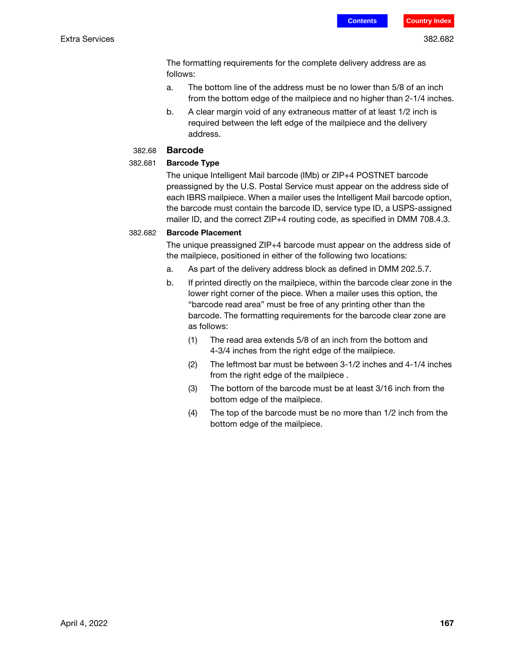The formatting requirements for the complete delivery address are as follows:

- a. The bottom line of the address must be no lower than 5/8 of an inch from the bottom edge of the mailpiece and no higher than 2-1/4 inches.
- b. A clear margin void of any extraneous matter of at least 1/2 inch is required between the left edge of the mailpiece and the delivery address.

#### 382.68 Barcode

#### <span id="page-24-0"></span>382.681 Barcode Type

The unique Intelligent Mail barcode (IMb) or ZIP+4 POSTNET barcode preassigned by the U.S. Postal Service must appear on the address side of each IBRS mailpiece. When a mailer uses the Intelligent Mail barcode option, the barcode must contain the barcode ID, service type ID, a USPS-assigned mailer ID, and the correct ZIP+4 routing code, as specified in DMM 708.4.3.

#### 382.682 Barcode Placement

The unique preassigned ZIP+4 barcode must appear on the address side of the mailpiece, positioned in either of the following two locations:

- a. As part of the delivery address block as defined in DMM 202.5.7.
- b. If printed directly on the mailpiece, within the barcode clear zone in the lower right corner of the piece. When a mailer uses this option, the "barcode read area" must be free of any printing other than the barcode. The formatting requirements for the barcode clear zone are as follows:
	- (1) The read area extends 5/8 of an inch from the bottom and 4-3/4 inches from the right edge of the mailpiece.
	- (2) The leftmost bar must be between 3-1/2 inches and 4-1/4 inches from the right edge of the mailpiece .
	- (3) The bottom of the barcode must be at least 3/16 inch from the bottom edge of the mailpiece.
	- (4) The top of the barcode must be no more than 1/2 inch from the bottom edge of the mailpiece.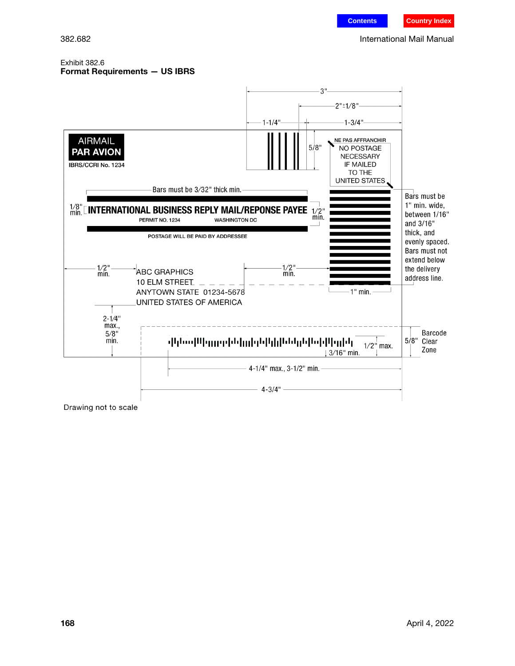#### <span id="page-25-0"></span>Exhibit 382.6 Format Requirements — US IBRS

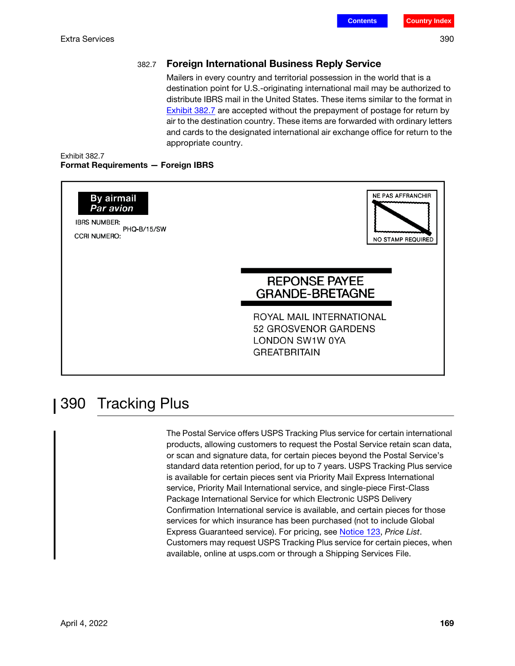### 382.7 Foreign International Business Reply Service

Mailers in every country and territorial possession in the world that is a destination point for U.S.-originating international mail may be authorized to distribute IBRS mail in the United States. These items similar to the format in [Exhibit 382.7](#page-26-0) are accepted without the prepayment of postage for return by air to the destination country. These items are forwarded with ordinary letters and cards to the designated international air exchange office for return to the appropriate country.

#### <span id="page-26-0"></span>Exhibit 382.7 Format Requirements — Foreign IBRS



## 390 Tracking Plus

The Postal Service offers USPS Tracking Plus service for certain international products, allowing customers to request the Postal Service retain scan data, or scan and signature data, for certain pieces beyond the Postal Service's standard data retention period, for up to 7 years. USPS Tracking Plus service is available for certain pieces sent via Priority Mail Express International service, Priority Mail International service, and single-piece First-Class Package International Service for which Electronic USPS Delivery Confirmation International service is available, and certain pieces for those services for which insurance has been purchased (not to include Global Express Guaranteed service). For pricing, see [Notice 123](http://pe.usps.com/text/dmm300/Notice123.htm), Price List. Customers may request USPS Tracking Plus service for certain pieces, when available, online at usps.com or through a Shipping Services File.